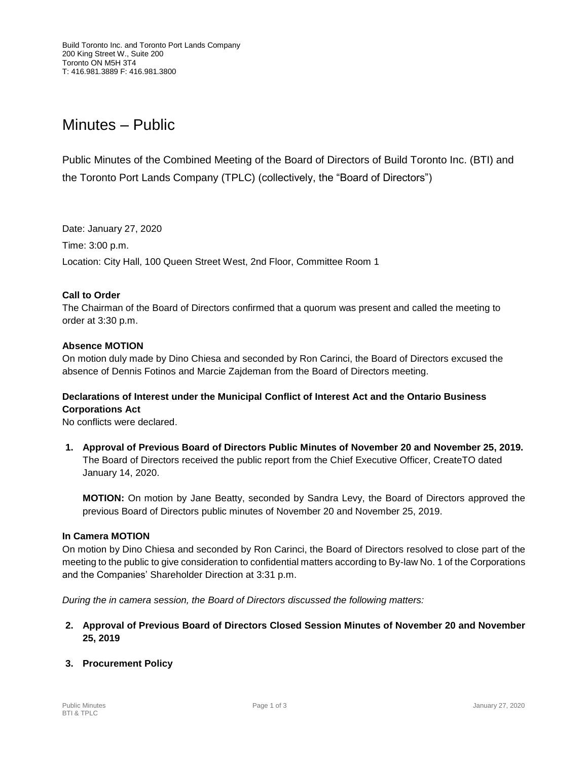# Minutes – Public

Public Minutes of the Combined Meeting of the Board of Directors of Build Toronto Inc. (BTI) and the Toronto Port Lands Company (TPLC) (collectively, the "Board of Directors")

Date: January 27, 2020 Time: 3:00 p.m. Location: City Hall, 100 Queen Street West, 2nd Floor, Committee Room 1

# **Call to Order**

The Chairman of the Board of Directors confirmed that a quorum was present and called the meeting to order at 3:30 p.m.

# **Absence MOTION**

On motion duly made by Dino Chiesa and seconded by Ron Carinci, the Board of Directors excused the absence of Dennis Fotinos and Marcie Zajdeman from the Board of Directors meeting.

# **Declarations of Interest under the Municipal Conflict of Interest Act and the Ontario Business Corporations Act**

No conflicts were declared.

**1. Approval of Previous Board of Directors Public Minutes of November 20 and November 25, 2019.** The Board of Directors received the public report from the Chief Executive Officer, CreateTO dated January 14, 2020.

**MOTION:** On motion by Jane Beatty, seconded by Sandra Levy, the Board of Directors approved the previous Board of Directors public minutes of November 20 and November 25, 2019.

#### **In Camera MOTION**

On motion by Dino Chiesa and seconded by Ron Carinci, the Board of Directors resolved to close part of the meeting to the public to give consideration to confidential matters according to By-law No. 1 of the Corporations and the Companies' Shareholder Direction at 3:31 p.m.

*During the in camera session, the Board of Directors discussed the following matters:*

**2. Approval of Previous Board of Directors Closed Session Minutes of November 20 and November 25, 2019**

# **3. Procurement Policy**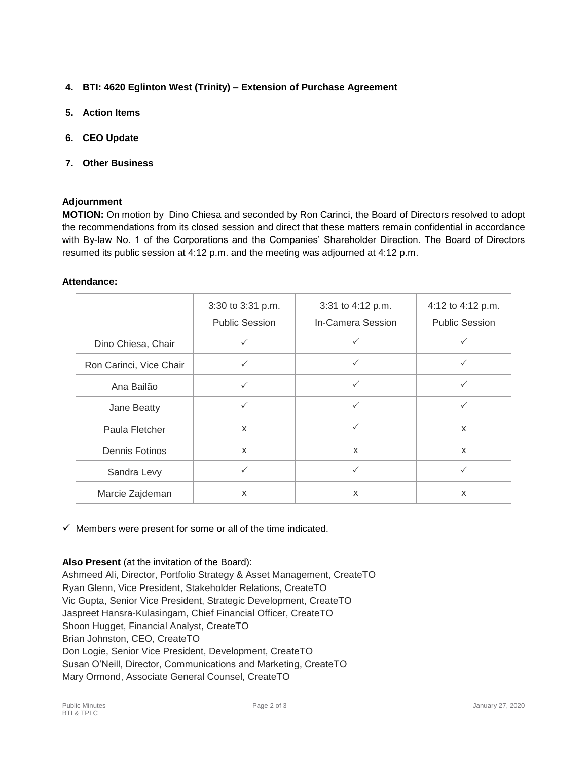- **4. BTI: 4620 Eglinton West (Trinity) – Extension of Purchase Agreement**
- **5. Action Items**
- **6. CEO Update**
- **7. Other Business**

# **Adjournment**

**MOTION:** On motion by Dino Chiesa and seconded by Ron Carinci, the Board of Directors resolved to adopt the recommendations from its closed session and direct that these matters remain confidential in accordance with By-law No. 1 of the Corporations and the Companies' Shareholder Direction. The Board of Directors resumed its public session at 4:12 p.m. and the meeting was adjourned at 4:12 p.m.

#### **Attendance:**

|                         | 3:30 to 3:31 p.m.<br><b>Public Session</b> | 3:31 to 4:12 p.m.<br>In-Camera Session | 4:12 to 4:12 p.m.<br><b>Public Session</b> |
|-------------------------|--------------------------------------------|----------------------------------------|--------------------------------------------|
| Dino Chiesa, Chair      |                                            |                                        |                                            |
| Ron Carinci, Vice Chair | ✓                                          | $\checkmark$                           | ✓                                          |
| Ana Bailão              | $\checkmark$                               | ✓                                      | ✓                                          |
| Jane Beatty             | ✓                                          | ✓                                      | ✓                                          |
| Paula Fletcher          | X                                          | $\checkmark$                           | X                                          |
| Dennis Fotinos          | X                                          | X                                      | X                                          |
| Sandra Levy             | ✓                                          | $\checkmark$                           | ✓                                          |
| Marcie Zajdeman         | X                                          | X                                      | X                                          |

 $\checkmark$  Members were present for some or all of the time indicated.

**Also Present** (at the invitation of the Board):

Ashmeed Ali, Director, Portfolio Strategy & Asset Management, CreateTO Ryan Glenn, Vice President, Stakeholder Relations, CreateTO Vic Gupta, Senior Vice President, Strategic Development, CreateTO Jaspreet Hansra-Kulasingam, Chief Financial Officer, CreateTO Shoon Hugget, Financial Analyst, CreateTO Brian Johnston, CEO, CreateTO Don Logie, Senior Vice President, Development, CreateTO Susan O'Neill, Director, Communications and Marketing, CreateTO Mary Ormond, Associate General Counsel, CreateTO